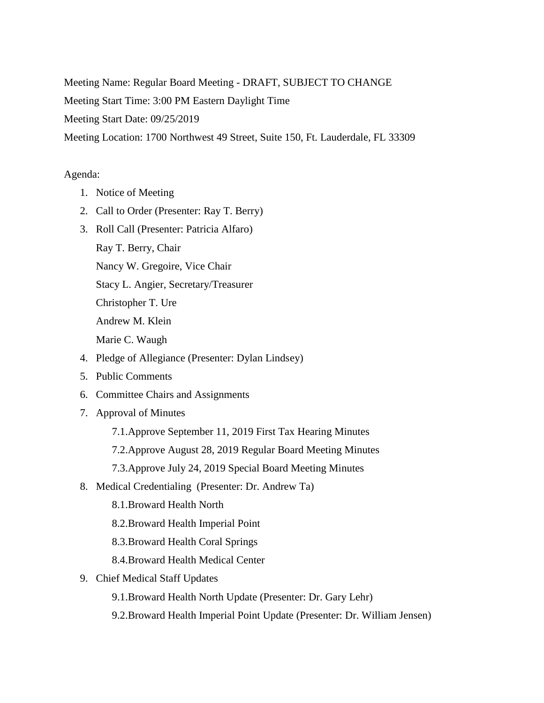Meeting Name: Regular Board Meeting - DRAFT, SUBJECT TO CHANGE Meeting Start Time: 3:00 PM Eastern Daylight Time Meeting Start Date: 09/25/2019

Meeting Location: 1700 Northwest 49 Street, Suite 150, Ft. Lauderdale, FL 33309

## Agenda:

- 1. Notice of Meeting
- 2. Call to Order (Presenter: Ray T. Berry)
- 3. Roll Call (Presenter: Patricia Alfaro)
	- Ray T. Berry, Chair

Nancy W. Gregoire, Vice Chair

Stacy L. Angier, Secretary/Treasurer

Christopher T. Ure

Andrew M. Klein

Marie C. Waugh

- 4. Pledge of Allegiance (Presenter: Dylan Lindsey)
- 5. Public Comments
- 6. Committee Chairs and Assignments
- 7. Approval of Minutes
	- 7.1.Approve September 11, 2019 First Tax Hearing Minutes
	- 7.2.Approve August 28, 2019 Regular Board Meeting Minutes
	- 7.3.Approve July 24, 2019 Special Board Meeting Minutes
- 8. Medical Credentialing (Presenter: Dr. Andrew Ta)
	- 8.1.Broward Health North
	- 8.2.Broward Health Imperial Point
	- 8.3.Broward Health Coral Springs
	- 8.4.Broward Health Medical Center
- 9. Chief Medical Staff Updates
	- 9.1.Broward Health North Update (Presenter: Dr. Gary Lehr)
	- 9.2.Broward Health Imperial Point Update (Presenter: Dr. William Jensen)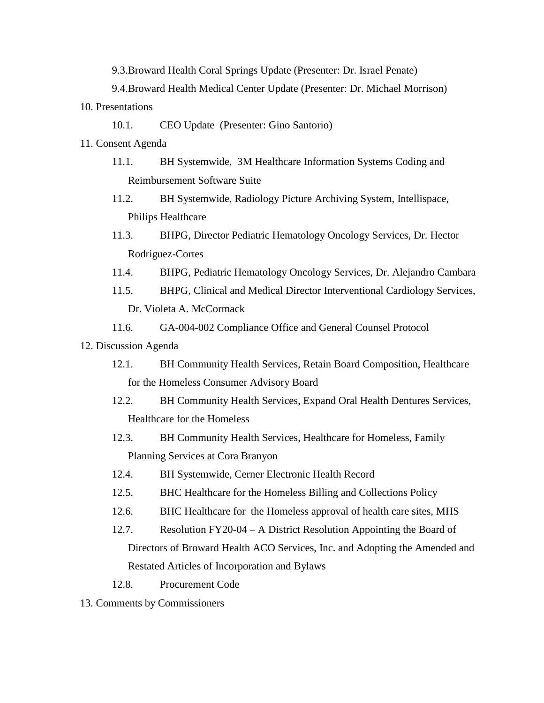9.3.Broward Health Coral Springs Update (Presenter: Dr. Israel Penate)

9.4.Broward Health Medical Center Update (Presenter: Dr. Michael Morrison)

- 10. Presentations
	- 10.1. CEO Update (Presenter: Gino Santorio)
- 11. Consent Agenda
	- 11.1. BH Systemwide, 3M Healthcare Information Systems Coding and Reimbursement Software Suite
	- 11.2. BH Systemwide, Radiology Picture Archiving System, Intellispace, Philips Healthcare
	- 11.3. BHPG, Director Pediatric Hematology Oncology Services, Dr. Hector Rodriguez-Cortes
	- 11.4. BHPG, Pediatric Hematology Oncology Services, Dr. Alejandro Cambara
	- 11.5. BHPG, Clinical and Medical Director Interventional Cardiology Services, Dr. Violeta A. McCormack
	- 11.6. GA-004-002 Compliance Office and General Counsel Protocol
- 12. Discussion Agenda
	- 12.1. BH Community Health Services, Retain Board Composition, Healthcare for the Homeless Consumer Advisory Board
	- 12.2. BH Community Health Services, Expand Oral Health Dentures Services, Healthcare for the Homeless
	- 12.3. BH Community Health Services, Healthcare for Homeless, Family Planning Services at Cora Branyon
	- 12.4. BH Systemwide, Cerner Electronic Health Record
	- 12.5. BHC Healthcare for the Homeless Billing and Collections Policy
	- 12.6. BHC Healthcare for the Homeless approval of health care sites, MHS
	- 12.7. Resolution FY20-04 A District Resolution Appointing the Board of Directors of Broward Health ACO Services, Inc. and Adopting the Amended and Restated Articles of Incorporation and Bylaws
	- 12.8. Procurement Code
- 13. Comments by Commissioners